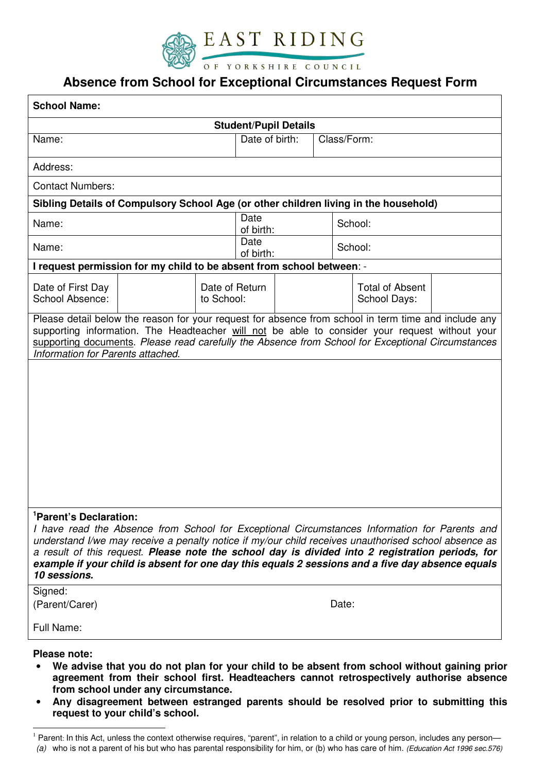

## **Absence from School for Exceptional Circumstances Request Form**

| <b>School Name:</b>                                                                                                                                                                                                                                                                                                                                                                                                           |  |                              |                   |  |  |                     |                        |  |  |
|-------------------------------------------------------------------------------------------------------------------------------------------------------------------------------------------------------------------------------------------------------------------------------------------------------------------------------------------------------------------------------------------------------------------------------|--|------------------------------|-------------------|--|--|---------------------|------------------------|--|--|
| <b>Student/Pupil Details</b>                                                                                                                                                                                                                                                                                                                                                                                                  |  |                              |                   |  |  |                     |                        |  |  |
| Name:                                                                                                                                                                                                                                                                                                                                                                                                                         |  |                              | Date of birth:    |  |  | Class/Form:         |                        |  |  |
| Address:                                                                                                                                                                                                                                                                                                                                                                                                                      |  |                              |                   |  |  |                     |                        |  |  |
| <b>Contact Numbers:</b>                                                                                                                                                                                                                                                                                                                                                                                                       |  |                              |                   |  |  |                     |                        |  |  |
| Sibling Details of Compulsory School Age (or other children living in the household)                                                                                                                                                                                                                                                                                                                                          |  |                              |                   |  |  |                     |                        |  |  |
| Name:                                                                                                                                                                                                                                                                                                                                                                                                                         |  |                              | Date<br>of birth: |  |  | School:             |                        |  |  |
| Name:                                                                                                                                                                                                                                                                                                                                                                                                                         |  |                              | Date<br>of birth: |  |  | School:             |                        |  |  |
| I request permission for my child to be absent from school between: -                                                                                                                                                                                                                                                                                                                                                         |  |                              |                   |  |  |                     |                        |  |  |
| Date of First Day<br>School Absence:                                                                                                                                                                                                                                                                                                                                                                                          |  | Date of Return<br>to School: |                   |  |  | <b>School Days:</b> | <b>Total of Absent</b> |  |  |
| Please detail below the reason for your request for absence from school in term time and include any<br>supporting information. The Headteacher will not be able to consider your request without your<br>supporting documents. Please read carefully the Absence from School for Exceptional Circumstances<br>Information for Parents attached.                                                                              |  |                              |                   |  |  |                     |                        |  |  |
| <sup>1</sup> Parent's Declaration:                                                                                                                                                                                                                                                                                                                                                                                            |  |                              |                   |  |  |                     |                        |  |  |
| I have read the Absence from School for Exceptional Circumstances Information for Parents and<br>understand I/we may receive a penalty notice if my/our child receives unauthorised school absence as<br>a result of this request. Please note the school day is divided into 2 registration periods, for<br>example if your child is absent for one day this equals 2 sessions and a five day absence equals<br>10 sessions. |  |                              |                   |  |  |                     |                        |  |  |
| Signed:<br>(Parent/Carer)                                                                                                                                                                                                                                                                                                                                                                                                     |  |                              |                   |  |  | Date:               |                        |  |  |
| Full Name:                                                                                                                                                                                                                                                                                                                                                                                                                    |  |                              |                   |  |  |                     |                        |  |  |
| <b>Please note:</b><br>We advise that you do not plan for your child to be absent from school without gaining prior                                                                                                                                                                                                                                                                                                           |  |                              |                   |  |  |                     |                        |  |  |

- **agreement from their school first. Headteachers cannot retrospectively authorise absence from school under any circumstance.**
- **Any disagreement between estranged parents should be resolved prior to submitting this request to your child's school.**

 $\overline{a}$ 

 $1$  Parent: In this Act, unless the context otherwise requires, "parent", in relation to a child or young person, includes any person— (a) who is not a parent of his but who has parental responsibility for him, or (b) who has care of him. (Education Act 1996 sec.576)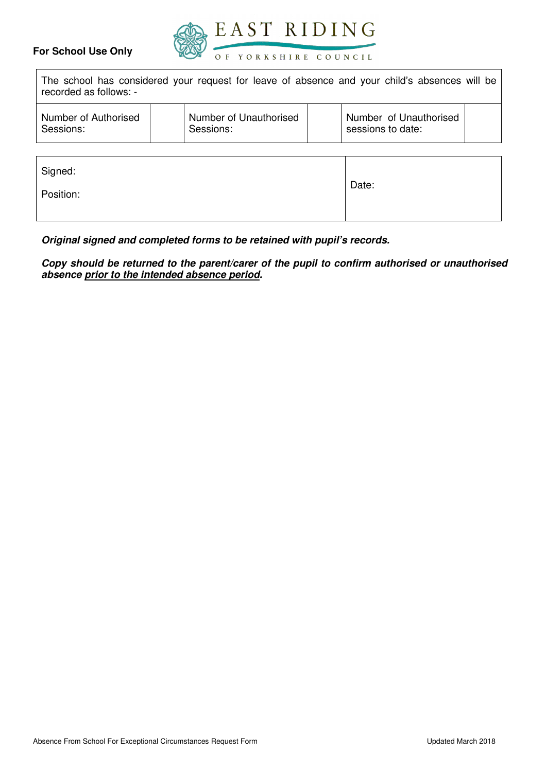## **For School Use Only**



The school has considered your request for leave of absence and your child's absences will be recorded as follows: -

| Number of Authorised<br>Sessions: |  | Number of Unauthorised<br>Sessions: |  | Number of Unauthorised<br>sessions to date: |  |
|-----------------------------------|--|-------------------------------------|--|---------------------------------------------|--|
|-----------------------------------|--|-------------------------------------|--|---------------------------------------------|--|

| Signed:   |       |
|-----------|-------|
| Position: | Date: |

**Original signed and completed forms to be retained with pupil's records.**

**Copy should be returned to the parent/carer of the pupil to confirm authorised or unauthorised absence prior to the intended absence period.**